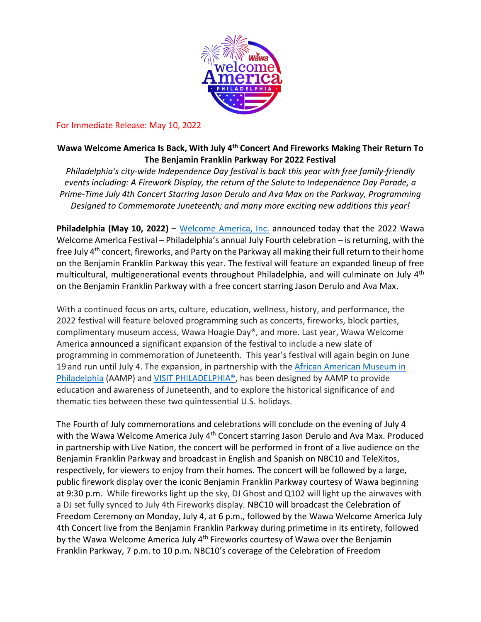

### For Immediate Release: May 10, 2022

## **Wawa Welcome America Is Back, With July 4th Concert And Fireworks Making Their Return To The Benjamin Franklin Parkway For 2022 Festival**

*Philadelphia's city-wide Independence Day festival is back this year with free family-friendly events including: A Firework Display, the return of the Salute to Independence Day Parade, a Prime-Time July 4th Concert Starring Jason Derulo and Ava Max on the Parkway, Programming Designed to Commemorate Juneteenth; and many more exciting new additions this year!*

Philadelphia (May 10, 2022) – [Welcome America, Inc.](https://welcomeamerica.com/) announced today that the 2022 Wawa Welcome America Festival – Philadelphia's annual July Fourth celebration – is returning, with the free July 4<sup>th</sup> concert, fireworks, and Party on the Parkway all making their full return to their home on the Benjamin Franklin Parkway this year. The festival will feature an expanded lineup of free multicultural, multigenerational events throughout Philadelphia, and will culminate on July 4<sup>th</sup> on the Benjamin Franklin Parkway with a free concert starring Jason Derulo and Ava Max.

With a continued focus on arts, culture, education, wellness, history, and performance, the 2022 festival will feature beloved programming such as concerts, fireworks, block parties, complimentary museum access, Wawa Hoagie Day®, and more. Last year, Wawa Welcome America announced a significant expansion of the festival to include a new slate of programming in commemoration of Juneteenth. This year's festival will again begin on June 19 and run until July 4. The expansion, in partnership with the African American Museum in [Philadelphia](https://www.aampmuseum.org/) (AAMP) and [VISIT PHILADELPHIA®](http://www.visitphilly.com/), has been designed by AAMP to provide education and awareness of Juneteenth, and to explore the historical significance of and thematic ties between these two quintessential U.S. holidays.

The Fourth of July commemorations and celebrations will conclude on the evening of July 4 with the Wawa Welcome America July 4<sup>th</sup> Concert starring Jason Derulo and Ava Max. Produced in partnership with Live Nation, the concert will be performed in front of a live audience on the Benjamin Franklin Parkway and broadcast in English and Spanish on NBC10 and TeleXitos, respectively, for viewers to enjoy from their homes. The concert will be followed by a large, public firework display over the iconic Benjamin Franklin Parkway courtesy of Wawa beginning at 9:30 p.m. While fireworks light up the sky, DJ Ghost and Q102 will light up the airwaves with a DJ set fully synced to July 4th Fireworks display. NBC10 will broadcast the Celebration of Freedom Ceremony on Monday, July 4, at 6 p.m., followed by the Wawa Welcome America July 4th Concert live from the Benjamin Franklin Parkway during primetime in its entirety, followed by the Wawa Welcome America July 4<sup>th</sup> Fireworks courtesy of Wawa over the Benjamin Franklin Parkway, 7 p.m. to 10 p.m. NBC10's coverage of the Celebration of Freedom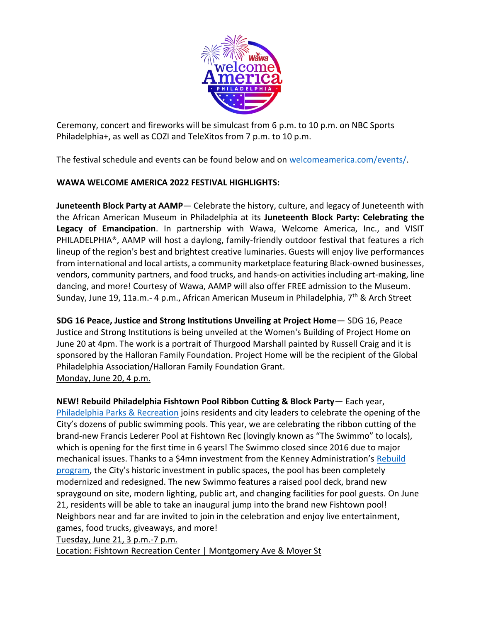

Ceremony, concert and fireworks will be simulcast from 6 p.m. to 10 p.m. on NBC Sports Philadelphia+, as well as COZI and TeleXitos from 7 p.m. to 10 p.m.

The festival schedule and events can be found below and on [welcomeamerica.com/events/.](https://welcomeamerica.com/events/)

# **WAWA WELCOME AMERICA 2022 FESTIVAL HIGHLIGHTS:**

**Juneteenth Block Party at AAMP**— Celebrate the history, culture, and legacy of Juneteenth with the African American Museum in Philadelphia at its **Juneteenth Block Party: Celebrating the Legacy of Emancipation**. In partnership with Wawa, Welcome America, Inc., and VISIT PHILADELPHIA®, AAMP will host a daylong, family-friendly outdoor festival that features a rich lineup of the region's best and brightest creative luminaries. Guests will enjoy live performances from international and local artists, a community marketplace featuring Black-owned businesses, vendors, community partners, and food trucks, and hands-on activities including art-making, line dancing, and more! Courtesy of Wawa, AAMP will also offer FREE admission to the Museum. Sunday, June 19, 11a.m.- 4 p.m., African American Museum in Philadelphia, 7<sup>th</sup> & Arch Street

**SDG 16 Peace, Justice and Strong Institutions Unveiling at Project Home**— SDG 16, Peace Justice and Strong Institutions is being unveiled at the Women's Building of Project Home on June 20 at 4pm. The work is a portrait of Thurgood Marshall painted by Russell Craig and it is sponsored by the Halloran Family Foundation. Project Home will be the recipient of the Global Philadelphia Association/Halloran Family Foundation Grant. Monday, June 20, 4 p.m.

**NEW! Rebuild Philadelphia Fishtown Pool Ribbon Cutting & Block Party**— Each year, [Philadelphia Parks & Recreation](https://www.phila.gov/departments/philadelphia-parks-recreation/) joins residents and city leaders to celebrate the opening of the City's dozens of public swimming pools. This year, we are celebrating the ribbon cutting of the brand-new Francis Lederer Pool at Fishtown Rec (lovingly known as "The Swimmo" to locals), which is opening for the first time in 6 years! The Swimmo closed since 2016 due to major mechanical issues. Thanks to a \$4mn investment from the Kenney Administration's Rebuild [program](https://www.phila.gov/programs/rebuild/), the City's historic investment in public spaces, the pool has been completely modernized and redesigned. The new Swimmo features a raised pool deck, brand new spraygound on site, modern lighting, public art, and changing facilities for pool guests. On June 21, residents will be able to take an inaugural jump into the brand new Fishtown pool! Neighbors near and far are invited to join in the celebration and enjoy live entertainment, games, food trucks, giveaways, and more!

Tuesday, June 21, 3 p.m.-7 p.m.

Location: Fishtown Recreation Center | Montgomery Ave & Moyer St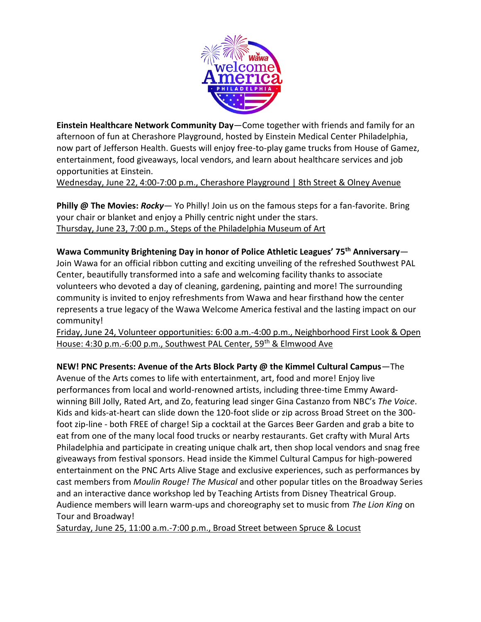

**Einstein Healthcare Network Community Day**—Come together with friends and family for an afternoon of fun at Cherashore Playground, hosted by Einstein Medical Center Philadelphia, now part of Jefferson Health. Guests will enjoy free-to-play game trucks from House of Gamez, entertainment, food giveaways, local vendors, and learn about healthcare services and job opportunities at Einstein.

Wednesday, June 22, 4:00-7:00 p.m., Cherashore Playground | 8th Street & Olney Avenue

**Philly @ The Movies:** *Rocky*— Yo Philly! Join us on the famous steps for a fan-favorite. Bring your chair or blanket and enjoy a Philly centric night under the stars. Thursday, June 23, 7:00 p.m., Steps of the Philadelphia Museum of Art

**Wawa Community Brightening Day in honor of Police Athletic Leagues' 75th Anniversary**— Join Wawa for an official ribbon cutting and exciting unveiling of the refreshed Southwest PAL Center, beautifully transformed into a safe and welcoming facility thanks to associate volunteers who devoted a day of cleaning, gardening, painting and more! The surrounding community is invited to enjoy refreshments from Wawa and hear firsthand how the center represents a true legacy of the Wawa Welcome America festival and the lasting impact on our community!

Friday, June 24, Volunteer opportunities: 6:00 a.m.-4:00 p.m., Neighborhood First Look & Open House: 4:30 p.m.-6:00 p.m., Southwest PAL Center, 59<sup>th</sup> & Elmwood Ave

**NEW! PNC Presents: Avenue of the Arts Block Party @ the Kimmel Cultural Campus**—The Avenue of the Arts comes to life with entertainment, art, food and more! Enjoy live performances from local and world-renowned artists, including three-time Emmy Awardwinning Bill Jolly, Rated Art, and Zo, featuring lead singer Gina Castanzo from NBC's *The Voice*. Kids and kids-at-heart can slide down the 120-foot slide or zip across Broad Street on the 300 foot zip-line - both FREE of charge! Sip a cocktail at the Garces Beer Garden and grab a bite to eat from one of the many local food trucks or nearby restaurants. Get crafty with Mural Arts Philadelphia and participate in creating unique chalk art, then shop local vendors and snag free giveaways from festival sponsors. Head inside the Kimmel Cultural Campus for high-powered entertainment on the PNC Arts Alive Stage and exclusive experiences, such as performances by cast members from *Moulin Rouge! The Musical* and other popular titles on the Broadway Series and an interactive dance workshop led by Teaching Artists from Disney Theatrical Group. Audience members will learn warm-ups and choreography set to music from *The Lion King* on Tour and Broadway!

Saturday, June 25, 11:00 a.m.-7:00 p.m., Broad Street between Spruce & Locust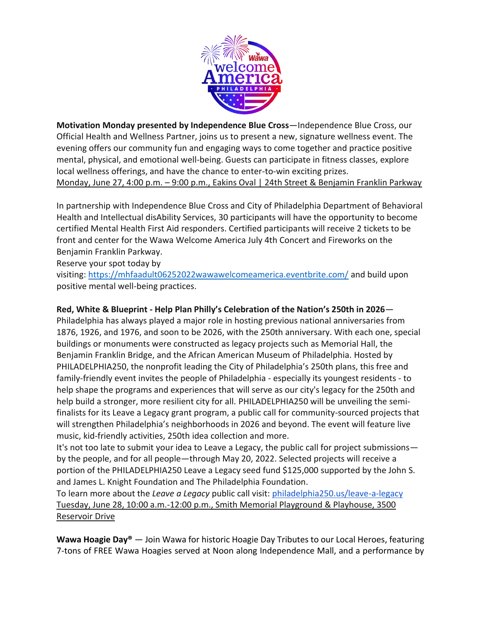

**Motivation Monday presented by Independence Blue Cross**—Independence Blue Cross, our Official Health and Wellness Partner, joins us to present a new, signature wellness event. The evening offers our community fun and engaging ways to come together and practice positive mental, physical, and emotional well-being. Guests can participate in fitness classes, explore local wellness offerings, and have the chance to enter-to-win exciting prizes. Monday, June 27, 4:00 p.m. – 9:00 p.m., Eakins Oval | 24th Street & Benjamin Franklin Parkway

In partnership with Independence Blue Cross and City of Philadelphia Department of Behavioral Health and Intellectual disAbility Services, 30 participants will have the opportunity to become certified Mental Health First Aid responders. Certified participants will receive 2 tickets to be front and center for the Wawa Welcome America July 4th Concert and Fireworks on the Benjamin Franklin Parkway.

Reserve your spot today by

visiting: <https://mhfaadult06252022wawawelcomeamerica.eventbrite.com/> and build upon positive mental well-being practices.

# **Red, White & Blueprint - Help Plan Philly's Celebration of the Nation's 250th in 2026**—

Philadelphia has always played a major role in hosting previous national anniversaries from 1876, 1926, and 1976, and soon to be 2026, with the 250th anniversary. With each one, special buildings or monuments were constructed as legacy projects such as Memorial Hall, the Benjamin Franklin Bridge, and the African American Museum of Philadelphia. Hosted by PHILADELPHIA250, the nonprofit leading the City of Philadelphia's 250th plans, this free and family-friendly event invites the people of Philadelphia - especially its youngest residents - to help shape the programs and experiences that will serve as our city's legacy for the 250th and help build a stronger, more resilient city for all. PHILADELPHIA250 will be unveiling the semifinalists for its Leave a Legacy grant program, a public call for community-sourced projects that will strengthen Philadelphia's neighborhoods in 2026 and beyond. The event will feature live music, kid-friendly activities, 250th idea collection and more.

It's not too late to submit your idea to Leave a Legacy, the public call for project submissions by the people, and for all people—through May 20, 2022. Selected projects will receive a portion of the PHILADELPHIA250 Leave a Legacy seed fund \$125,000 supported by the John S. and James L. Knight Foundation and The Philadelphia Foundation.

To learn more about the *Leave a Legacy* public call visit[:](http://philadelphia250.us/leave-a-legacy) [philadelphia250.us/leave-a-legacy](http://philadelphia250.us/leave-a-legacy) Tuesday, June 28, 10:00 a.m.-12:00 p.m., Smith Memorial Playground & Playhouse, 3500 Reservoir Drive

**Wawa Hoagie Day®** — Join Wawa for historic Hoagie Day Tributes to our Local Heroes, featuring 7-tons of FREE Wawa Hoagies served at Noon along Independence Mall, and a performance by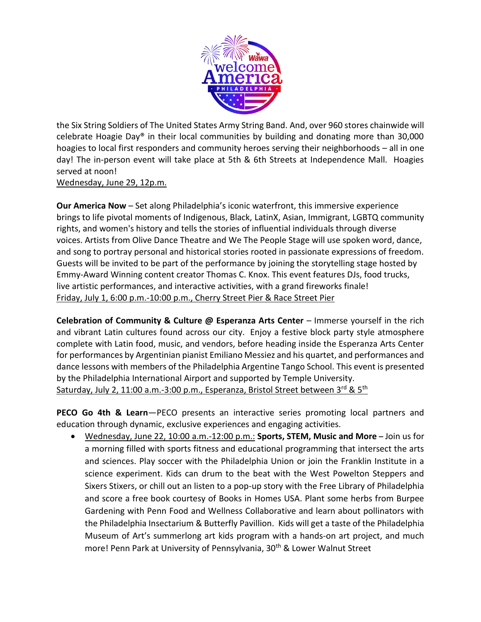

the Six String Soldiers of The United States Army String Band. And, over 960 stores chainwide will celebrate Hoagie Day® in their local communities by building and donating more than 30,000 hoagies to local first responders and community heroes serving their neighborhoods – all in one day! The in-person event will take place at 5th & 6th Streets at Independence Mall. Hoagies served at noon!

#### Wednesday, June 29, 12p.m.

**Our America Now** – Set along Philadelphia's iconic waterfront, this immersive experience brings to life pivotal moments of Indigenous, Black, LatinX, Asian, Immigrant, LGBTQ community rights, and women's history and tells the stories of influential individuals through diverse voices. Artists from Olive Dance Theatre and We The People Stage will use spoken word, dance, and song to portray personal and historical stories rooted in passionate expressions of freedom. Guests will be invited to be part of the performance by joining the storytelling stage hosted by Emmy-Award Winning content creator Thomas C. Knox. This event features DJs, food trucks, live artistic performances, and interactive activities, with a grand fireworks finale! Friday, July 1, 6:00 p.m.-10:00 p.m., Cherry Street Pier & Race Street Pier

**Celebration of Community & Culture @ Esperanza Arts Center** – Immerse yourself in the rich and vibrant Latin cultures found across our city. Enjoy a festive block party style atmosphere complete with Latin food, music, and vendors, before heading inside the Esperanza Arts Center for performances by Argentinian pianist Emiliano Messiez and his quartet, and performances and dance lessons with members of the Philadelphia Argentine Tango School. This event is presented by the Philadelphia International Airport and supported by Temple University. Saturday, July 2, 11:00 a.m.-3:00 p.m., Esperanza, Bristol Street between 3rd & 5<sup>th</sup>

**PECO Go 4th & Learn**—PECO presents an interactive series promoting local partners and education through dynamic, exclusive experiences and engaging activities.

• Wednesday, June 22, 10:00 a.m.-12:00 p.m.: **Sports, STEM, Music and More –** Join us for a morning filled with sports fitness and educational programming that intersect the arts and sciences. Play soccer with the Philadelphia Union or join the Franklin Institute in a science experiment. Kids can drum to the beat with the West Powelton Steppers and Sixers Stixers, or chill out an listen to a pop-up story with the Free Library of Philadelphia and score a free book courtesy of Books in Homes USA. Plant some herbs from Burpee Gardening with Penn Food and Wellness Collaborative and learn about pollinators with the Philadelphia Insectarium & Butterfly Pavillion. Kids will get a taste of the Philadelphia Museum of Art's summerlong art kids program with a hands-on art project, and much more! Penn Park at University of Pennsylvania, 30<sup>th</sup> & Lower Walnut Street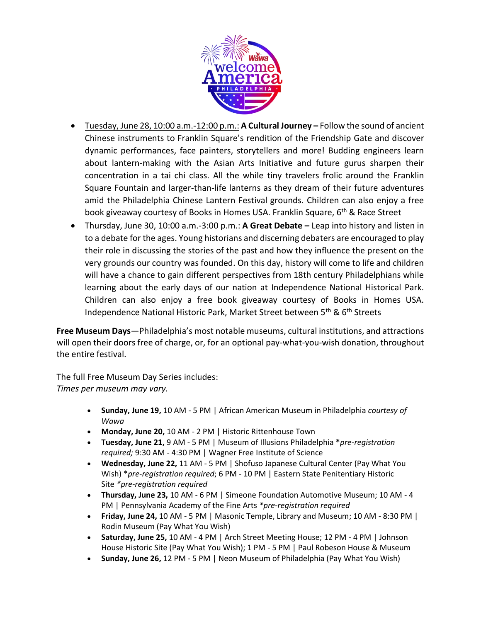

- Tuesday, June 28, 10:00 a.m.-12:00 p.m.: **A Cultural Journey –** Follow the sound of ancient Chinese instruments to Franklin Square's rendition of the Friendship Gate and discover dynamic performances, face painters, storytellers and more! Budding engineers learn about lantern-making with the Asian Arts Initiative and future gurus sharpen their concentration in a tai chi class. All the while tiny travelers frolic around the Franklin Square Fountain and larger-than-life lanterns as they dream of their future adventures amid the Philadelphia Chinese Lantern Festival grounds. Children can also enjoy a free book giveaway courtesy of Books in Homes USA. Franklin Square, 6<sup>th</sup> & Race Street
- Thursday, June 30, 10:00 a.m.-3:00 p.m.: **A Great Debate –** Leap into history and listen in to a debate for the ages. Young historians and discerning debaters are encouraged to play their role in discussing the stories of the past and how they influence the present on the very grounds our country was founded. On this day, history will come to life and children will have a chance to gain different perspectives from 18th century Philadelphians while learning about the early days of our nation at Independence National Historical Park. Children can also enjoy a free book giveaway courtesy of Books in Homes USA. Independence National Historic Park, Market Street between 5<sup>th</sup> & 6<sup>th</sup> Streets

**Free Museum Days**—Philadelphia's most notable museums, cultural institutions, and attractions will open their doors free of charge, or, for an optional pay-what-you-wish donation, throughout the entire festival.

The full Free Museum Day Series includes: *Times per museum may vary.*

- **Sunday, June 19,** 10 AM 5 PM | African American Museum in Philadelphia *courtesy of Wawa*
- **Monday, June 20,** 10 AM 2 PM | Historic Rittenhouse Town
- **Tuesday, June 21,** 9 AM 5 PM | Museum of Illusions Philadelphia **\****pre-registration required;* 9:30 AM - 4:30 PM | Wagner Free Institute of Science
- **Wednesday, June 22,** 11 AM 5 PM | Shofuso Japanese Cultural Center (Pay What You Wish) \**pre-registration required*; 6 PM - 10 PM | Eastern State Penitentiary Historic Site *\*pre-registration required*
- **Thursday, June 23,** 10 AM 6 PM | Simeone Foundation Automotive Museum; 10 AM 4 PM | Pennsylvania Academy of the Fine Arts *\*pre-registration required*
- **Friday, June 24,** 10 AM 5 PM | Masonic Temple, Library and Museum; 10 AM 8:30 PM | Rodin Museum (Pay What You Wish)
- **Saturday, June 25,** 10 AM 4 PM | Arch Street Meeting House; 12 PM 4 PM | Johnson House Historic Site (Pay What You Wish); 1 PM - 5 PM | Paul Robeson House & Museum
- **Sunday, June 26,** 12 PM 5 PM | Neon Museum of Philadelphia (Pay What You Wish)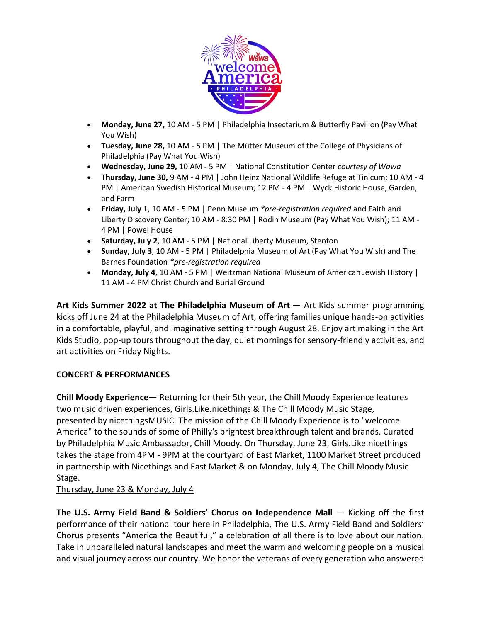

- **Monday, June 27,** 10 AM 5 PM | Philadelphia Insectarium & Butterfly Pavilion (Pay What You Wish)
- **Tuesday, June 28,** 10 AM 5 PM | The Mütter Museum of the College of Physicians of Philadelphia (Pay What You Wish)
- **Wednesday, June 29,** 10 AM 5 PM | National Constitution Center *courtesy of Wawa*
- **Thursday, June 30,** 9 AM 4 PM | John Heinz National Wildlife Refuge at Tinicum; 10 AM 4 PM | American Swedish Historical Museum; 12 PM - 4 PM | Wyck Historic House, Garden, and Farm
- **Friday, July 1**, 10 AM 5 PM | Penn Museum *\*pre-registration required* and Faith and Liberty Discovery Center; 10 AM - 8:30 PM | Rodin Museum (Pay What You Wish); 11 AM - 4 PM | Powel House
- **Saturday, Ju**l**y 2**, 10 AM 5 PM | National Liberty Museum, Stenton
- **Sunday, July 3**, 10 AM 5 PM | Philadelphia Museum of Art (Pay What You Wish) and The Barnes Foundation *\*pre-registration required*
- **Monday, July 4**, 10 AM 5 PM | Weitzman National Museum of American Jewish History | 11 AM - 4 PM Christ Church and Burial Ground

**Art Kids Summer 2022 at The Philadelphia Museum of Art** — Art Kids summer programming kicks off June 24 at the Philadelphia Museum of Art, offering families unique hands-on activities in a comfortable, playful, and imaginative setting through August 28. Enjoy art making in the Art Kids Studio, pop-up tours throughout the day, quiet mornings for sensory-friendly activities, and art activities on Friday Nights.

# **CONCERT & PERFORMANCES**

**Chill Moody Experience**— Returning for their 5th year, the Chill Moody Experience features two music driven experiences, Girls.Like.nicethings & The Chill Moody Music Stage, presented by nicethingsMUSIC. The mission of the Chill Moody Experience is to "welcome America" to the sounds of some of Philly's brightest breakthrough talent and brands. Curated by Philadelphia Music Ambassador, Chill Moody. On Thursday, June 23, Girls.Like.nicethings takes the stage from 4PM - 9PM at the courtyard of East Market, 1100 Market Street produced in partnership with Nicethings and East Market & on Monday, July 4, The Chill Moody Music Stage.

Thursday, June 23 & Monday, July 4

**The U.S. Army Field Band & Soldiers' Chorus on Independence Mall** — Kicking off the first performance of their national tour here in Philadelphia, The U.S. Army Field Band and Soldiers' Chorus presents "America the Beautiful," a celebration of all there is to love about our nation. Take in unparalleled natural landscapes and meet the warm and welcoming people on a musical and visual journey across our country. We honor the veterans of every generation who answered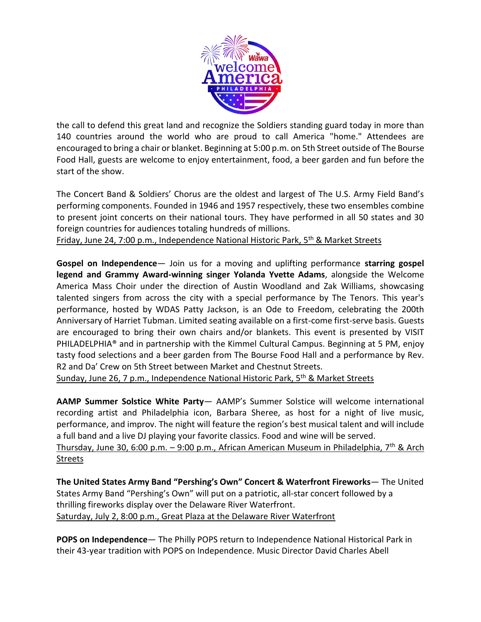

the call to defend this great land and recognize the Soldiers standing guard today in more than 140 countries around the world who are proud to call America "home." Attendees are encouraged to bring a chair or blanket. Beginning at 5:00 p.m. on 5th Street outside of The Bourse Food Hall, guests are welcome to enjoy entertainment, food, a beer garden and fun before the start of the show.

The Concert Band & Soldiers' Chorus are the oldest and largest of The U.S. Army Field Band's performing components. Founded in 1946 and 1957 respectively, these two ensembles combine to present joint concerts on their national tours. They have performed in all 50 states and 30 foreign countries for audiences totaling hundreds of millions.

Friday, June 24, 7:00 p.m., Independence National Historic Park, 5<sup>th</sup> & Market Streets

**Gospel on Independence**— Join us for a moving and uplifting performance **starring gospel legend and Grammy Award-winning singer Yolanda Yvette Adams**, alongside the Welcome America Mass Choir under the direction of Austin Woodland and Zak Williams, showcasing talented singers from across the city with a special performance by The Tenors. This year's performance, hosted by WDAS Patty Jackson, is an Ode to Freedom, celebrating the 200th Anniversary of Harriet Tubman. Limited seating available on a first-come first-serve basis. Guests are encouraged to bring their own chairs and/or blankets. This event is presented by VISIT PHILADELPHIA® and in partnership with the Kimmel Cultural Campus. Beginning at 5 PM, enjoy tasty food selections and a beer garden from The Bourse Food Hall and a performance by Rev. R2 and Da' Crew on 5th Street between Market and Chestnut Streets.

Sunday, June 26, 7 p.m., Independence National Historic Park, 5<sup>th</sup> & Market Streets

**AAMP Summer Solstice White Party**— AAMP's Summer Solstice will welcome international recording artist and Philadelphia icon, Barbara Sheree, as host for a night of live music, performance, and improv. The night will feature the region's best musical talent and will include a full band and a live DJ playing your favorite classics. Food and wine will be served. Thursday, June 30, 6:00 p.m. – 9:00 p.m., African American Museum in Philadelphia, 7th & Arch

Streets

**The United States Army Band "Pershing's Own" Concert & Waterfront Fireworks**— The United States Army Band "Pershing's Own" will put on a patriotic, all-star concert followed by a thrilling fireworks display over the Delaware River Waterfront. Saturday, July 2, 8:00 p.m., Great Plaza at the Delaware River Waterfront

**POPS on Independence**— The Philly POPS return to Independence National Historical Park in their 43-year tradition with POPS on Independence. Music Director David Charles Abell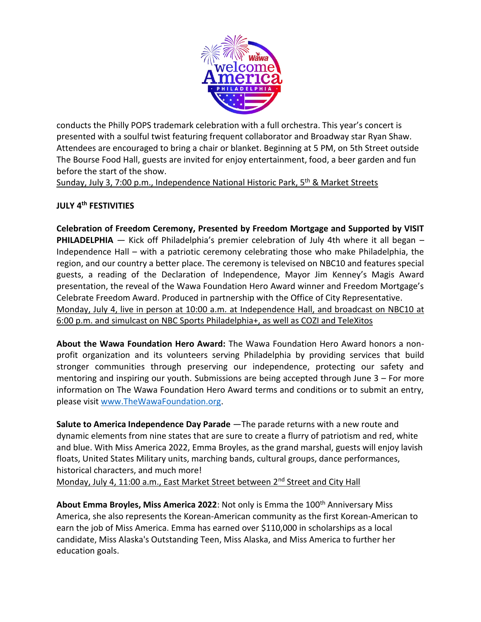

conducts the Philly POPS trademark celebration with a full orchestra. This year's concert is presented with a soulful twist featuring frequent collaborator and Broadway star Ryan Shaw. Attendees are encouraged to bring a chair or blanket. Beginning at 5 PM, on 5th Street outside The Bourse Food Hall, guests are invited for enjoy entertainment, food, a beer garden and fun before the start of the show.

Sunday, July 3, 7:00 p.m., Independence National Historic Park, 5<sup>th</sup> & Market Streets

# **JULY 4 th FESTIVITIES**

**Celebration of Freedom Ceremony, Presented by Freedom Mortgage and Supported by VISIT PHILADELPHIA** – Kick off Philadelphia's premier celebration of July 4th where it all began – Independence Hall – with a patriotic ceremony celebrating those who make Philadelphia, the region, and our country a better place. The ceremony is televised on NBC10 and features special guests, a reading of the Declaration of Independence, Mayor Jim Kenney's Magis Award presentation, the reveal of the Wawa Foundation Hero Award winner and Freedom Mortgage's Celebrate Freedom Award. Produced in partnership with the Office of City Representative. Monday, July 4, live in person at 10:00 a.m. at Independence Hall, and broadcast on NBC10 at 6:00 p.m. and simulcast on NBC Sports Philadelphia+, as well as COZI and TeleXitos

**About the Wawa Foundation Hero Award:** The Wawa Foundation Hero Award honors a nonprofit organization and its volunteers serving Philadelphia by providing services that build stronger communities through preserving our independence, protecting our safety and mentoring and inspiring our youth. Submissions are being accepted through June 3 – For more information on The Wawa Foundation Hero Award terms and conditions or to submit an entry, please visit [www.TheWawaFoundation.org.](http://www.thewawafoundation.org/)

**Salute to America Independence Day Parade** —The parade returns with a new route and dynamic elements from nine states that are sure to create a flurry of patriotism and red, white and blue. With Miss America 2022, Emma Broyles, as the grand marshal, guests will enjoy lavish floats, United States Military units, marching bands, cultural groups, dance performances, historical characters, and much more! Monday, July 4, 11:00 a.m., East Market Street between 2<sup>nd</sup> Street and City Hall

About Emma Broyles, Miss America 2022: Not only is Emma the 100<sup>th</sup> Anniversary Miss America, she also represents the Korean-American community as the first Korean-American to earn the job of Miss America. Emma has earned over \$110,000 in scholarships as a local candidate, Miss Alaska's Outstanding Teen, Miss Alaska, and Miss America to further her education goals.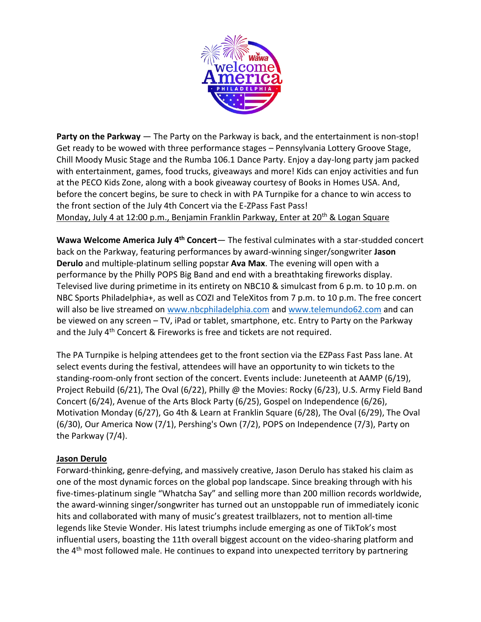

**Party on the Parkway** — The Party on the Parkway is back, and the entertainment is non-stop! Get ready to be wowed with three performance stages – Pennsylvania Lottery Groove Stage, Chill Moody Music Stage and the Rumba 106.1 Dance Party. Enjoy a day-long party jam packed with entertainment, games, food trucks, giveaways and more! Kids can enjoy activities and fun at the PECO Kids Zone, along with a book giveaway courtesy of Books in Homes USA. And, before the concert begins, be sure to check in with PA Turnpike for a chance to win access to the front section of the July 4th Concert via the E-ZPass Fast Pass! Monday, July 4 at 12:00 p.m., Benjamin Franklin Parkway, Enter at  $20^{th}$  & Logan Square

**Wawa Welcome America July 4th Concert**— The festival culminates with a star-studded concert back on the Parkway, featuring performances by award-winning singer/songwriter **Jason Derulo** and multiple-platinum selling popstar **Ava Max**. The evening will open with a performance by the Philly POPS Big Band and end with a breathtaking fireworks display. Televised live during primetime in its entirety on NBC10 & simulcast from 6 p.m. to 10 p.m. on NBC Sports Philadelphia+, as well as COZI and TeleXitos from 7 p.m. to 10 p.m. The free concert will also be live streamed on [www.nbcphiladelphia.com](http://www.nbcphiladelphia.com/) and [www.telemundo62.com](http://www.telemundo62.com/) and can be viewed on any screen – TV, iPad or tablet, smartphone, etc. Entry to Party on the Parkway and the July 4<sup>th</sup> Concert & Fireworks is free and tickets are not required.

The PA Turnpike is helping attendees get to the front section via the EZPass Fast Pass lane. At select events during the festival, attendees will have an opportunity to win tickets to the standing-room-only front section of the concert. Events include: Juneteenth at AAMP (6/19), Project Rebuild (6/21), The Oval (6/22), Philly @ the Movies: Rocky (6/23), U.S. Army Field Band Concert (6/24), Avenue of the Arts Block Party (6/25), Gospel on Independence (6/26), Motivation Monday (6/27), Go 4th & Learn at Franklin Square (6/28), The Oval (6/29), The Oval (6/30), Our America Now (7/1), Pershing's Own (7/2), POPS on Independence (7/3), Party on the Parkway (7/4).

### **Jason Derulo**

Forward-thinking, genre-defying, and massively creative, Jason Derulo has staked his claim as one of the most dynamic forces on the global pop landscape. Since breaking through with his five-times-platinum single "Whatcha Say" and selling more than 200 million records worldwide, the award-winning singer/songwriter has turned out an unstoppable run of immediately iconic hits and collaborated with many of music's greatest trailblazers, not to mention all-time legends like Stevie Wonder. His latest triumphs include emerging as one of TikTok's most influential users, boasting the 11th overall biggest account on the video-sharing platform and the  $4<sup>th</sup>$  most followed male. He continues to expand into unexpected territory by partnering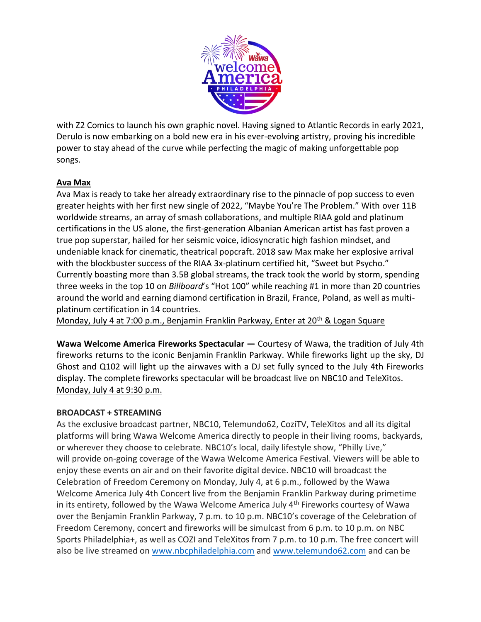

with Z2 Comics to launch his own graphic novel. Having signed to Atlantic Records in early 2021, Derulo is now embarking on a bold new era in his ever-evolving artistry, proving his incredible power to stay ahead of the curve while perfecting the magic of making unforgettable pop songs.

### **Ava Max**

Ava Max is ready to take her already extraordinary rise to the pinnacle of pop success to even greater heights with her first new single of 2022, "Maybe You're The Problem." With over 11B worldwide streams, an array of smash collaborations, and multiple RIAA gold and platinum certifications in the US alone, the first-generation Albanian American artist has fast proven a true pop superstar, hailed for her seismic voice, idiosyncratic high fashion mindset, and undeniable knack for cinematic, theatrical popcraft. 2018 saw Max make her explosive arrival with the blockbuster success of the RIAA 3x-platinum certified hit, "Sweet but Psycho." Currently boasting more than 3.5B global streams, the track took the world by storm, spending three weeks in the top 10 on *Billboard*'s "Hot 100" while reaching #1 in more than 20 countries around the world and earning diamond certification in Brazil, France, Poland, as well as multiplatinum certification in 14 countries.

Monday, July 4 at 7:00 p.m., Benjamin Franklin Parkway, Enter at 20<sup>th</sup> & Logan Square

**Wawa Welcome America Fireworks Spectacular —** Courtesy of Wawa, the tradition of July 4th fireworks returns to the iconic Benjamin Franklin Parkway. While fireworks light up the sky, DJ Ghost and Q102 will light up the airwaves with a DJ set fully synced to the July 4th Fireworks display. The complete fireworks spectacular will be broadcast live on NBC10 and TeleXitos. Monday, July 4 at 9:30 p.m.

#### **BROADCAST + STREAMING**

As the exclusive broadcast partner, NBC10, Telemundo62, CoziTV, TeleXitos and all its digital platforms will bring Wawa Welcome America directly to people in their living rooms, backyards, or wherever they choose to celebrate. NBC10's local, daily lifestyle show, "Philly Live," will provide on-going coverage of the Wawa Welcome America Festival. Viewers will be able to enjoy these events on air and on their favorite digital device. NBC10 will broadcast the Celebration of Freedom Ceremony on Monday, July 4, at 6 p.m., followed by the Wawa Welcome America July 4th Concert live from the Benjamin Franklin Parkway during primetime in its entirety, followed by the Wawa Welcome America July 4<sup>th</sup> Fireworks courtesy of Wawa over the Benjamin Franklin Parkway, 7 p.m. to 10 p.m. NBC10's coverage of the Celebration of Freedom Ceremony, concert and fireworks will be simulcast from 6 p.m. to 10 p.m. on NBC Sports Philadelphia+, as well as COZI and TeleXitos from 7 p.m. to 10 p.m. The free concert will also be live streamed on [www.nbcphiladelphia.com](http://www.nbcphiladelphia.com/) and [www.telemundo62.com](http://www.telemundo62.com/) and can be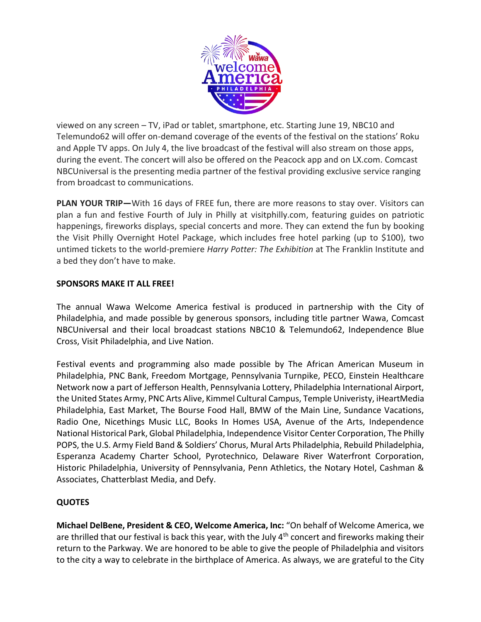

viewed on any screen – TV, iPad or tablet, smartphone, etc. Starting June 19, NBC10 and Telemundo62 will offer on-demand coverage of the events of the festival on the stations' Roku and Apple TV apps. On July 4, the live broadcast of the festival will also stream on those apps, during the event. The concert will also be offered on the Peacock app and on LX.com. Comcast NBCUniversal is the presenting media partner of the festival providing exclusive service ranging from broadcast to communications.

**PLAN YOUR TRIP—**With 16 days of FREE fun, there are more reasons to stay over. Visitors can plan a fun and festive Fourth of July in Philly at [visitphilly.com,](https://www.visitphilly.com/) featuring guides on patriotic happenings, fireworks displays, special concerts and more. They can extend the fun by booking the [Visit Philly Overnight Hotel Package,](https://www.visitphilly.com/features/visit-philly-overnight-hotel-package/) which includes free hotel parking (up to \$100), two untimed tickets to the world-premiere *Harry Potter: The Exhibition* at The Franklin Institute and a bed they don't have to make.

### **SPONSORS MAKE IT ALL FREE!**

The annual Wawa Welcome America festival is produced in partnership with the City of Philadelphia, and made possible by generous sponsors, including title partner Wawa, Comcast NBCUniversal and their local broadcast stations NBC10 & Telemundo62, Independence Blue Cross, Visit Philadelphia, and Live Nation.

Festival events and programming also made possible by The African American Museum in Philadelphia, PNC Bank, Freedom Mortgage, Pennsylvania Turnpike, PECO, Einstein Healthcare Network now a part of Jefferson Health, Pennsylvania Lottery, Philadelphia International Airport, the United States Army, PNC Arts Alive, Kimmel Cultural Campus, Temple Univeristy, iHeartMedia Philadelphia, East Market, The Bourse Food Hall, BMW of the Main Line, Sundance Vacations, Radio One, Nicethings Music LLC, Books In Homes USA, Avenue of the Arts, Independence National Historical Park, Global Philadelphia, Independence Visitor Center Corporation, The Philly POPS, the U.S. Army Field Band & Soldiers' Chorus, Mural Arts Philadelphia, Rebuild Philadelphia, Esperanza Academy Charter School, Pyrotechnico, Delaware River Waterfront Corporation, Historic Philadelphia, University of Pennsylvania, Penn Athletics, the Notary Hotel, Cashman & Associates, Chatterblast Media, and Defy.

### **QUOTES**

**Michael DelBene, President & CEO, Welcome America, Inc:** "On behalf of Welcome America, we are thrilled that our festival is back this year, with the July 4<sup>th</sup> concert and fireworks making their return to the Parkway. We are honored to be able to give the people of Philadelphia and visitors to the city a way to celebrate in the birthplace of America. As always, we are grateful to the City